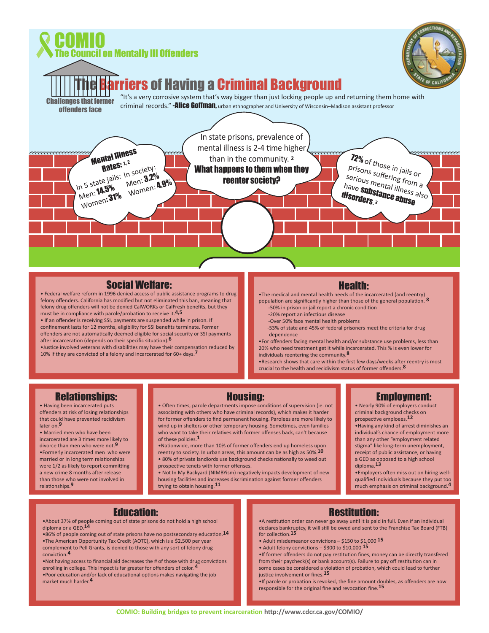

### Social Welfare:

• Federal welfare reform in 1996 denied access of public assistance programs to drug felony offenders. California has modified but not eliminated this ban, meaning that felony drug offenders will not be denied CalWORKs or CalFresh benefits, but they must be in compliance with parole/probation to receive it.**4,5**

• If an offender is receiving SSI, payments are suspended while in prison. If confinement lasts for 12 months, eligibility for SSI benefits terminate. Former offenders are not automatically deemed eligible for social security or SSI payments after incarceration (depends on their specific situation).**6**

•Justice involved veterans with disabilities may have their compensation reduced by 10% if they are convicted of a felony and incarcerated for 60+ days.**7**

### Health:

•The medical and mental health needs of the incarcerated (and reentry) population are significantly higher than those of the general population. **8**

- -50% in prison or jail report a chronic condition -20% report an infectious disease
- -Over 50% face mental health problems
- -53% of state and 45% of federal prisoners meet the criteria for drug dependence

•For offenders facing mental health and/or substance use problems, less than 20% who need treatment get it while incarcerated. This % is even lower for individuals reentering the community.**8**

•Research shows that care within the first few days/weeks after reentry is most crucial to the health and recidivism status of former offenders.**8**

## Relationships:

• Having been incarcerated puts offenders at risk of losing relationships that could have prevented recidivism later on.**9**

• Married men who have been incarcerated are 3 times more likely to divorce than men who were not.**9** •Formerly incarcerated men who were married or in long term relationships were 1/2 as likely to report committing a new crime 8 months after release than those who were not involved in relationships.**9**

#### Housing:

• Often times, parole departments impose conditions of supervision (ie. not associating with others who have criminal records), which makes it harder for former offenders to find permanent housing. Parolees are more likely to wind up in shelters or other temporary housing. Sometimes, even families who want to take their relatives with former offenses back, can't because of these policies.**1**

•Nationwide, more than 10% of former offenders end up homeless upon reentry to society. In urban areas, this amount can be as high as 50%.**10** • 80% of private landlords use background checks nationally to weed out prospective tenets with former offenses.

• Not In My Backyard (NIMBYism) negatively impacts development of new housing facilities and increases discrimination against former offenders trying to obtain housing.**11**

Employment:

• Nearly 90% of employers conduct criminal background checks on prospective emploees.**12**

•Having any kind of arrest diminishes an individual's chance of employment more than any other "employment related stigma" like long-term unemployment, receipt of public assistance, or having a GED as opposed to a high school diploma.**13**

•Employers often miss out on hiring wellqualified individuals because they put too much emphasis on criminal background.**4**

## Education:

•About 37% of people coming out of state prisons do not hold a high school diploma or a GED.**14**

- •86% of people coming out of state prisons have no postsecondary education.**14** •The American Opportunity Tax Credit (AOTC), which is a \$2,500 per year complement to Pell Grants, is denied to those with any sort of felony drug conviction.**4**
- •Not having access to financial aid decreases the # of those with drug convictions enrolling in college. This impact is far greater for offenders of color. **4** •Poor education and/or lack of educational options makes navigating the job market much harder.**4**

# Restitution:

- •A restitution order can never go away until it is paid in full. Even if an individual declares bankruptcy, it will still be owed and sent to the Franchise Tax Board (FTB) for collection.**15**
- Adult misdemeanor convictions \$150 to \$1,000 **15**
- Adult felony convictions \$300 to \$10,000 **15**

•If former offenders do not pay restitution fines, money can be directly transfered from their paycheck(s) or bank account(s). Failure to pay off restitution can in some cases be considered a violation of probation, which could lead to further justice involvement or fines.**15**

•If parole or probation is revoked, the fine amount doubles, as offenders are now responsible for the original fine and revocation fine.**15**